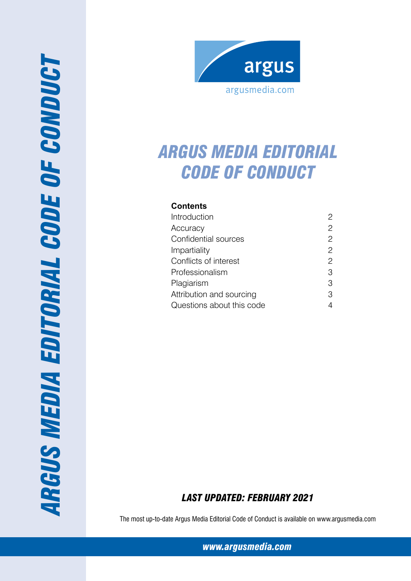



# *Argus media editorial code of conduct*

## **Contents**

| Introduction              |                |
|---------------------------|----------------|
| Accuracy                  | 2              |
| Confidential sources      | 2              |
| Impartiality              | 2              |
| Conflicts of interest     | $\overline{2}$ |
| Professionalism           | 3              |
| Plagiarism                | 3              |
| Attribution and sourcing  | 3              |
| Questions about this code |                |

## *Last Updated: february 2021*

The most up-to-date Argus Media Editorial Code of Conduct is available on www.argusmedia.com

*www.argusmedia.com*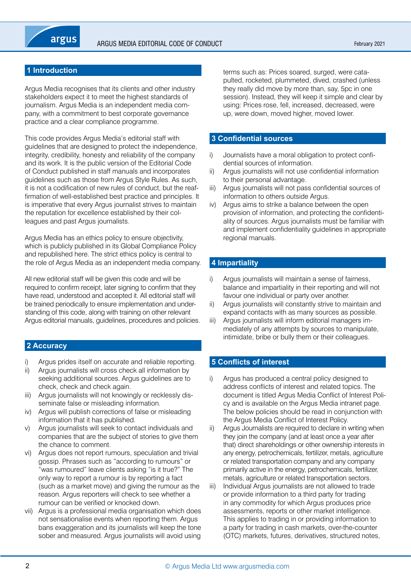

## **1 Introduction**

Argus Media recognises that its clients and other industry stakeholders expect it to meet the highest standards of journalism. Argus Media is an independent media company, with a commitment to best corporate governance practice and a clear compliance programme.

This code provides Argus Media's editorial staff with guidelines that are designed to protect the independence, integrity, credibility, honesty and reliability of the company and its work. It is the public version of the Editorial Code of Conduct published in staff manuals and incorporates guidelines such as those from Argus Style Rules. As such, it is not a codification of new rules of conduct, but the reaffirmation of well-established best practice and principles. It is imperative that every Argus journalist strives to maintain the reputation for excellence established by their colleagues and past Argus journalists.

Argus Media has an ethics policy to ensure objectivity, which is publicly published in its Global Compliance Policy and republished here. The strict ethics policy is central to the role of Argus Media as an independent media company.

All new editorial staff will be given this code and will be required to confirm receipt, later signing to confirm that they have read, understood and accepted it. All editorial staff will be trained periodically to ensure implementation and understanding of this code, along with training on other relevant Argus editorial manuals, guidelines, procedures and policies.

### **2 Accuracy**

- i) Argus prides itself on accurate and reliable reporting.
- ii) Argus journalists will cross check all information by seeking additional sources. Argus guidelines are to check, check and check again.
- iii) Argus journalists will not knowingly or recklessly disseminate false or misleading information.
- iv) Argus will publish corrections of false or misleading information that it has published.
- v) Argus journalists will seek to contact individuals and companies that are the subject of stories to give them the chance to comment.
- vi) Argus does not report rumours, speculation and trivial gossip. Phrases such as "according to rumours" or "was rumoured" leave clients asking "is it true?" The only way to report a rumour is by reporting a fact (such as a market move) and giving the rumour as the reason. Argus reporters will check to see whether a rumour can be verified or knocked down.
- vii) Argus is a professional media organisation which does not sensationalise events when reporting them. Argus bans exaggeration and its journalists will keep the tone sober and measured. Argus journalists will avoid using

terms such as: Prices soared, surged, were catapulted, rocketed, plummeted, dived, crashed (unless they really did move by more than, say, 5pc in one session). Instead, they will keep it simple and clear by using: Prices rose, fell, increased, decreased, were up, were down, moved higher, moved lower.

## **3 Confidential sources**

- i) Journalists have a moral obligation to protect confidential sources of information.
- ii) Argus journalists will not use confidential information to their personal advantage.
- iii) Argus journalists will not pass confidential sources of information to others outside Argus.
- iv) Argus aims to strike a balance between the open provision of information, and protecting the confidentiality of sources. Argus journalists must be familiar with and implement confidentiality guidelines in appropriate regional manuals.

## **4 Impartiality**

- i) Argus journalists will maintain a sense of fairness, balance and impartiality in their reporting and will not favour one individual or party over another.
- ii) Argus journalists will constantly strive to maintain and expand contacts with as many sources as possible.
- iii) Argus journalists will inform editorial managers immediately of any attempts by sources to manipulate, intimidate, bribe or bully them or their colleagues.

## **5 Conflicts of interest**

- i) Argus has produced a central policy designed to address conflicts of interest and related topics. The document is titled Argus Media Conflict of Interest Policy and is available on the Argus Media intranet page. The below policies should be read in conjunction with the Argus Media Conflict of Interest Policy.
- ii) Argus Journalists are required to declare in writing when they join the company (and at least once a year after that) direct shareholdings or other ownership interests in any energy, petrochemicals, fertilizer, metals, agriculture or related transportation company and any company primarily active in the energy, petrochemicals, fertilizer, metals, agriculture or related transportation sectors.
- iii) Individual Argus journalists are not allowed to trade or provide information to a third party for trading in any commodity for which Argus produces price assessments, reports or other market intelligence. This applies to trading in or providing information to a party for trading in cash markets, over-the-counter (OTC) markets, futures, derivatives, structured notes,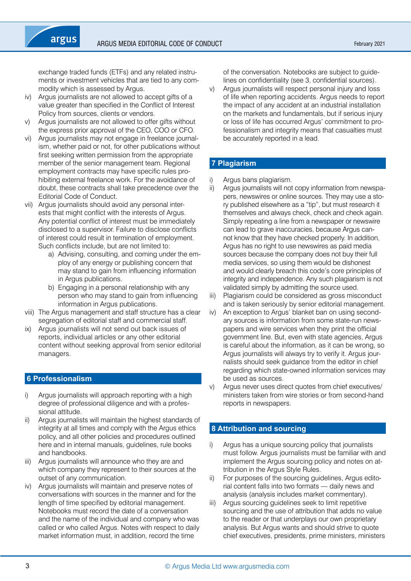exchange traded funds (ETFs) and any related instruments or investment vehicles that are tied to any commodity which is assessed by Argus.

iv) Argus journalists are not allowed to accept gifts of a value greater than specified in the Conflict of Interest Policy from sources, clients or vendors.

argus

- Argus journalists are not allowed to offer gifts without the express prior approval of the CEO, COO or CFO.
- vi) Argus journalists may not engage in freelance journalism, whether paid or not, for other publications without first seeking written permission from the appropriate member of the senior management team. Regional employment contracts may have specific rules prohibiting external freelance work. For the avoidance of doubt, these contracts shall take precedence over the Editorial Code of Conduct.
- vii) Argus journalists should avoid any personal interests that might conflict with the interests of Argus. Any potential conflict of interest must be immediately disclosed to a supervisor. Failure to disclose conflicts of interest could result in termination of employment. Such conflicts include, but are not limited to:
	- a) Advising, consulting, and coming under the employ of any energy or publishing concern that may stand to gain from influencing information in Argus publications.
	- b) Engaging in a personal relationship with any person who may stand to gain from influencing information in Argus publications.
- viii) The Argus management and staff structure has a clear segregation of editorial staff and commercial staff.
- ix) Argus journalists will not send out back issues of reports, individual articles or any other editorial content without seeking approval from senior editorial managers.

#### **6 Professionalism**

- Argus journalists will approach reporting with a high degree of professional diligence and with a professional attitude.
- ii) Argus journalists will maintain the highest standards of integrity at all times and comply with the Argus ethics policy, and all other policies and procedures outlined here and in internal manuals, guidelines, rule books and handbooks.
- iii) Argus journalists will announce who they are and which company they represent to their sources at the outset of any communication.
- iv) Argus journalists will maintain and preserve notes of conversations with sources in the manner and for the length of time specified by editorial management. Notebooks must record the date of a conversation and the name of the individual and company who was called or who called Argus. Notes with respect to daily market information must, in addition, record the time

of the conversation. Notebooks are subject to guidelines on confidentiality (see 3, confidential sources).

v) Argus journalists will respect personal injury and loss of life when reporting accidents. Argus needs to report the impact of any accident at an industrial installation on the markets and fundamentals, but if serious injury or loss of life has occurred Argus' commitment to professionalism and integrity means that casualties must be accurately reported in a lead.

## **7 Plagiarism**

- Argus bans plagiarism.
- ii) Argus journalists will not copy information from newspapers, newswires or online sources. They may use a story published elsewhere as a "tip", but must research it themselves and always check, check and check again. Simply repeating a line from a newspaper or newswire can lead to grave inaccuracies, because Argus cannot know that they have checked properly. In addition, Argus has no right to use newswires as paid media sources because the company does not buy their full media services, so using them would be dishonest and would clearly breach this code's core principles of integrity and independence. Any such plagiarism is not validated simply by admitting the source used.
- iii) Plagiarism could be considered as gross misconduct and is taken seriously by senior editorial management.
- iv) An exception to Argus' blanket ban on using secondary sources is information from some state-run newspapers and wire services when they print the official government line. But, even with state agencies, Argus is careful about the information, as it can be wrong, so Argus journalists will always try to verify it. Argus journalists should seek guidance from the editor in chief regarding which state-owned information services may be used as sources.
- v) Argus never uses direct quotes from chief executives/ ministers taken from wire stories or from second-hand reports in newspapers.

## **8 Attribution and sourcing**

- i) Argus has a unique sourcing policy that journalists must follow. Argus journalists must be familiar with and implement the Argus sourcing policy and notes on attribution in the Argus Style Rules.
- ii) For purposes of the sourcing guidelines, Argus editorial content falls into two formats — daily news and analysis (analysis includes market commentary).
- iii) Argus sourcing guidelines seek to limit repetitive sourcing and the use of attribution that adds no value to the reader or that underplays our own proprietary analysis. But Argus wants and should strive to quote chief executives, presidents, prime ministers, ministers